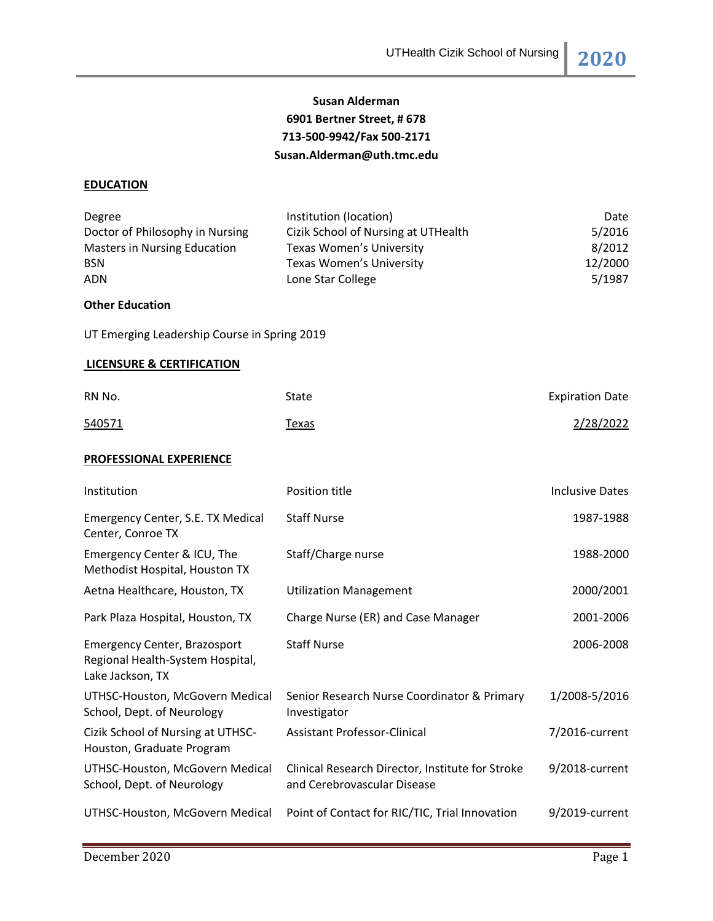# **Susan Alderman 6901 Bertner Street, # 678 713-500-9942/Fax 500-2171 Susan.Alderman@uth.tmc.edu**

### **EDUCATION**

| Degree<br>Doctor of Philosophy in Nursing<br><b>Masters in Nursing Education</b><br><b>BSN</b><br><b>ADN</b> | Institution (location)<br>Cizik School of Nursing at UTHealth<br>Texas Women's University<br><b>Texas Women's University</b><br>Lone Star College | Date<br>5/2016<br>8/2012<br>12/2000<br>5/1987 |
|--------------------------------------------------------------------------------------------------------------|---------------------------------------------------------------------------------------------------------------------------------------------------|-----------------------------------------------|
| <b>Other Education</b>                                                                                       |                                                                                                                                                   |                                               |
| UT Emerging Leadership Course in Spring 2019                                                                 |                                                                                                                                                   |                                               |
| <b>LICENSURE &amp; CERTIFICATION</b>                                                                         |                                                                                                                                                   |                                               |
| RN No.                                                                                                       | State                                                                                                                                             | <b>Expiration Date</b>                        |
| 540571                                                                                                       | Texas                                                                                                                                             | 2/28/2022                                     |
| PROFESSIONAL EXPERIENCE                                                                                      |                                                                                                                                                   |                                               |
| Institution                                                                                                  | Position title                                                                                                                                    | <b>Inclusive Dates</b>                        |
| Emergency Center, S.E. TX Medical<br>Center, Conroe TX                                                       | <b>Staff Nurse</b>                                                                                                                                | 1987-1988                                     |
| Emergency Center & ICU, The<br>Methodist Hospital, Houston TX                                                | Staff/Charge nurse                                                                                                                                | 1988-2000                                     |
| Aetna Healthcare, Houston, TX                                                                                | <b>Utilization Management</b>                                                                                                                     | 2000/2001                                     |
| Park Plaza Hospital, Houston, TX                                                                             | Charge Nurse (ER) and Case Manager                                                                                                                | 2001-2006                                     |

| Regional Health-System Hospital,<br>Lake Jackson, TX           |                                                                                 |                |
|----------------------------------------------------------------|---------------------------------------------------------------------------------|----------------|
| UTHSC-Houston, McGovern Medical<br>School, Dept. of Neurology  | Senior Research Nurse Coordinator & Primary<br>Investigator                     | 1/2008-5/2016  |
| Cizik School of Nursing at UTHSC-<br>Houston, Graduate Program | <b>Assistant Professor-Clinical</b>                                             | 7/2016-current |
| UTHSC-Houston, McGovern Medical<br>School, Dept. of Neurology  | Clinical Research Director, Institute for Stroke<br>and Cerebrovascular Disease | 9/2018-current |
| UTHSC-Houston, McGovern Medical                                | Point of Contact for RIC/TIC, Trial Innovation                                  | 9/2019-current |

Staff Nurse 2006-2008

Emergency Center, Brazosport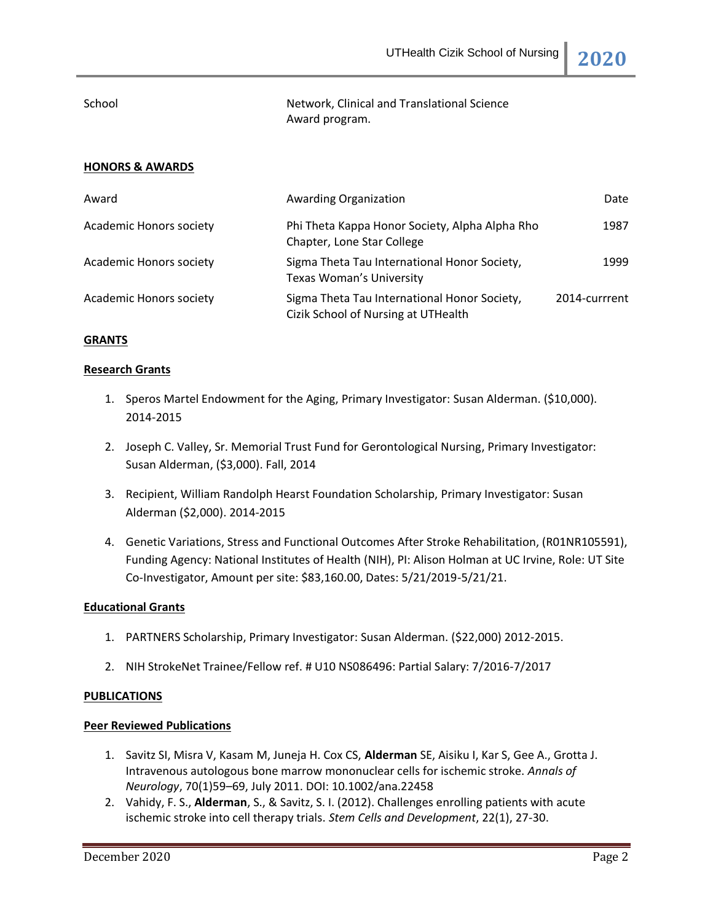UTHealth Cizik School of Nursing **2020**

School **Network, Clinical and Translational Science** Award program.

### **HONORS & AWARDS**

| Award                          | <b>Awarding Organization</b>                                                        | Date          |
|--------------------------------|-------------------------------------------------------------------------------------|---------------|
| <b>Academic Honors society</b> | Phi Theta Kappa Honor Society, Alpha Alpha Rho<br>Chapter, Lone Star College        | 1987          |
| <b>Academic Honors society</b> | Sigma Theta Tau International Honor Society,<br><b>Texas Woman's University</b>     | 1999          |
| Academic Honors society        | Sigma Theta Tau International Honor Society,<br>Cizik School of Nursing at UTHealth | 2014-currrent |

#### **GRANTS**

#### **Research Grants**

- 1. Speros Martel Endowment for the Aging, Primary Investigator: Susan Alderman. (\$10,000). 2014-2015
- 2. Joseph C. Valley, Sr. Memorial Trust Fund for Gerontological Nursing, Primary Investigator: Susan Alderman, (\$3,000). Fall, 2014
- 3. Recipient, William Randolph Hearst Foundation Scholarship, Primary Investigator: Susan Alderman (\$2,000). 2014-2015
- 4. Genetic Variations, Stress and Functional Outcomes After Stroke Rehabilitation, (R01NR105591), Funding Agency: National Institutes of Health (NIH), PI: Alison Holman at UC Irvine, Role: UT Site Co-Investigator, Amount per site: \$83,160.00, Dates: 5/21/2019-5/21/21.

#### **Educational Grants**

- 1. PARTNERS Scholarship, Primary Investigator: Susan Alderman. (\$22,000) 2012-2015.
- 2. NIH StrokeNet Trainee/Fellow ref. # U10 NS086496: Partial Salary: 7/2016-7/2017

#### **PUBLICATIONS**

#### **Peer Reviewed Publications**

- 1. Savitz SI, Misra V, Kasam M, Juneja H. Cox CS, **Alderman** SE, Aisiku I, Kar S, Gee A., Grotta J. Intravenous autologous bone marrow mononuclear cells for ischemic stroke. *Annals of Neurology*, 70(1)59–69, July 2011. DOI: 10.1002/ana.22458
- 2. Vahidy, F. S., **Alderman**, S., & Savitz, S. I. (2012). Challenges enrolling patients with acute ischemic stroke into cell therapy trials. *Stem Cells and Development*, 22(1), 27-30.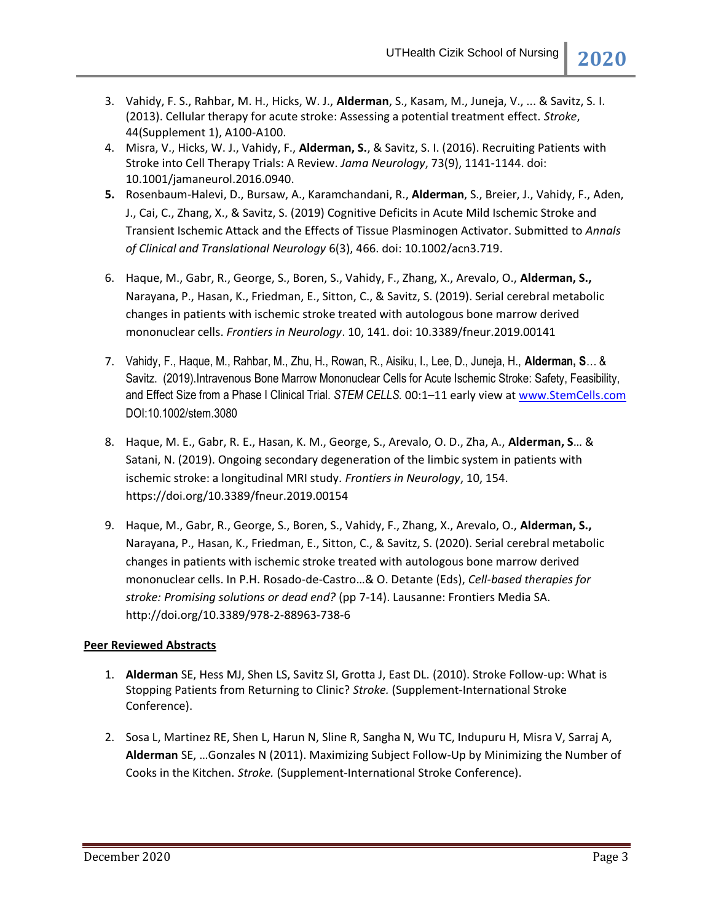- 3. Vahidy, F. S., Rahbar, M. H., Hicks, W. J., **Alderman**, S., Kasam, M., Juneja, V., ... & Savitz, S. I. (2013). Cellular therapy for acute stroke: Assessing a potential treatment effect. *Stroke*, 44(Supplement 1), A100-A100.
- 4. Misra, V., Hicks, W. J., Vahidy, F., **Alderman, S.**, & Savitz, S. I. (2016). Recruiting Patients with Stroke into Cell Therapy Trials: A Review. *Jama Neurology*, 73(9), 1141-1144. doi: 10.1001/jamaneurol.2016.0940.
- **5.** Rosenbaum-Halevi, D., Bursaw, A., Karamchandani, R., **Alderman**, S., Breier, J., Vahidy, F., Aden, J., Cai, C., Zhang, X., & Savitz, S. (2019) Cognitive Deficits in Acute Mild Ischemic Stroke and Transient Ischemic Attack and the Effects of Tissue Plasminogen Activator. Submitted to *Annals of Clinical and Translational Neurology* 6(3), 466. doi: 10.1002/acn3.719.
- 6. Haque, M., Gabr, R., George, S., Boren, S., Vahidy, F., Zhang, X., Arevalo, O., **Alderman, S.,** Narayana, P., Hasan, K., Friedman, E., Sitton, C., & Savitz, S. (2019). Serial cerebral metabolic changes in patients with ischemic stroke treated with autologous bone marrow derived mononuclear cells. *Frontiers in Neurology*. 10, 141. doi: 10.3389/fneur.2019.00141
- 7. Vahidy, F., Haque, M., Rahbar, M., Zhu, H., Rowan, R., Aisiku, I., Lee, D., Juneja, H., **Alderman, S**… & Savitz. (2019).Intravenous Bone Marrow Mononuclear Cells for Acute Ischemic Stroke: Safety, Feasibility, and Effect Size from a Phase I Clinical Trial. *STEM CELLS.* 00:1–11 early view a[t www.StemCells.com](http://www.stemcells.com/) DOI:10.1002/stem.3080
- 8. Haque, M. E., Gabr, R. E., Hasan, K. M., George, S., Arevalo, O. D., Zha, A., **Alderman, S**… & Satani, N. (2019). Ongoing secondary degeneration of the limbic system in patients with ischemic stroke: a longitudinal MRI study. *Frontiers in Neurology*, 10, 154. https://doi.org/10.3389/fneur.2019.00154
- 9. Haque, M., Gabr, R., George, S., Boren, S., Vahidy, F., Zhang, X., Arevalo, O., **Alderman, S.,** Narayana, P., Hasan, K., Friedman, E., Sitton, C., & Savitz, S. (2020). Serial cerebral metabolic changes in patients with ischemic stroke treated with autologous bone marrow derived mononuclear cells. In P.H. Rosado-de-Castro…& O. Detante (Eds), *Cell-based therapies for stroke: Promising solutions or dead end?* (pp 7-14). Lausanne: Frontiers Media SA. http://doi.org/10.3389/978-2-88963-738-6

## **Peer Reviewed Abstracts**

- 1. **Alderman** SE, Hess MJ, Shen LS, Savitz SI, Grotta J, East DL. (2010). Stroke Follow-up: What is Stopping Patients from Returning to Clinic? *Stroke.* (Supplement-International Stroke Conference).
- 2. Sosa L, Martinez RE, Shen L, Harun N, Sline R, Sangha N, Wu TC, Indupuru H, Misra V, Sarraj A, **Alderman** SE, …Gonzales N (2011). Maximizing Subject Follow-Up by Minimizing the Number of Cooks in the Kitchen. *Stroke.* (Supplement-International Stroke Conference).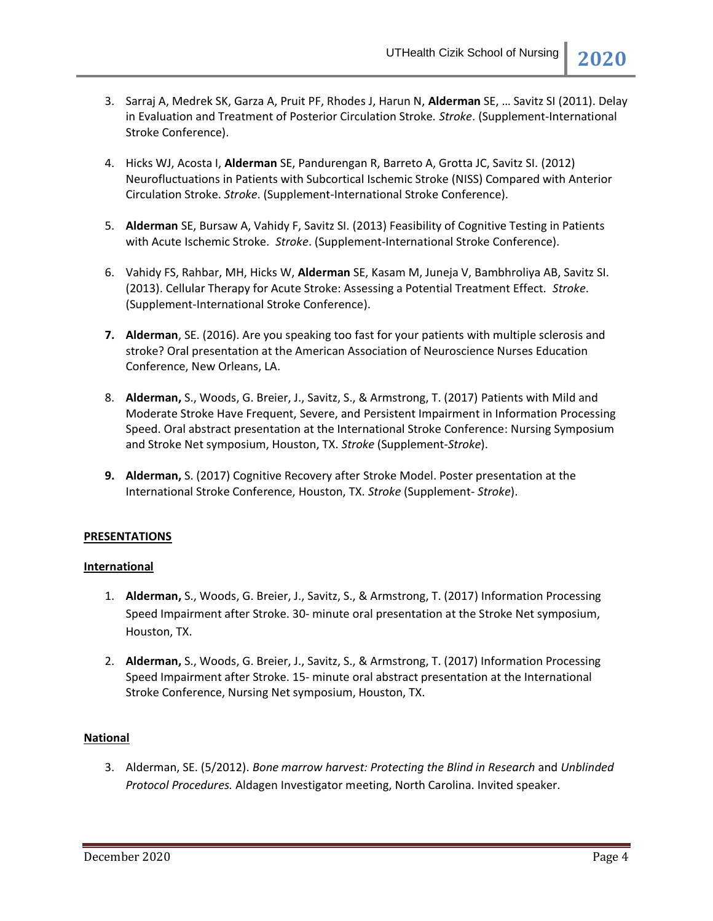- 3. Sarraj A, Medrek SK, Garza A, Pruit PF, Rhodes J, Harun N, **Alderman** SE, … Savitz SI (2011). Delay in Evaluation and Treatment of Posterior Circulation Stroke. *Stroke*. (Supplement-International Stroke Conference).
- 4. Hicks WJ, Acosta I, **Alderman** SE, Pandurengan R, Barreto A, Grotta JC, Savitz SI. (2012) Neurofluctuations in Patients with Subcortical Ischemic Stroke (NISS) Compared with Anterior Circulation Stroke. *Stroke*. (Supplement-International Stroke Conference).
- 5. **Alderman** SE, Bursaw A, Vahidy F, Savitz SI. (2013) Feasibility of Cognitive Testing in Patients with Acute Ischemic Stroke. *Stroke*. (Supplement-International Stroke Conference).
- 6. Vahidy FS, Rahbar, MH, Hicks W, **Alderman** SE, Kasam M, Juneja V, Bambhroliya AB, Savitz SI. (2013). Cellular Therapy for Acute Stroke: Assessing a Potential Treatment Effect. *Stroke*. (Supplement-International Stroke Conference).
- **7. Alderman**, SE. (2016). Are you speaking too fast for your patients with multiple sclerosis and stroke? Oral presentation at the American Association of Neuroscience Nurses Education Conference, New Orleans, LA.
- 8. **Alderman,** S., Woods, G. Breier, J., Savitz, S., & Armstrong, T. (2017) Patients with Mild and Moderate Stroke Have Frequent, Severe, and Persistent Impairment in Information Processing Speed. Oral abstract presentation at the International Stroke Conference: Nursing Symposium and Stroke Net symposium, Houston, TX. *Stroke* (Supplement-*Stroke*).
- **9. Alderman,** S. (2017) Cognitive Recovery after Stroke Model. Poster presentation at the International Stroke Conference, Houston, TX. *Stroke* (Supplement- *Stroke*).

### **PRESENTATIONS**

### **International**

- 1. **Alderman,** S., Woods, G. Breier, J., Savitz, S., & Armstrong, T. (2017) Information Processing Speed Impairment after Stroke. 30- minute oral presentation at the Stroke Net symposium, Houston, TX.
- 2. **Alderman,** S., Woods, G. Breier, J., Savitz, S., & Armstrong, T. (2017) Information Processing Speed Impairment after Stroke. 15- minute oral abstract presentation at the International Stroke Conference, Nursing Net symposium, Houston, TX.

### **National**

3. Alderman, SE. (5/2012). *Bone marrow harvest: Protecting the Blind in Research* and *Unblinded Protocol Procedures.* Aldagen Investigator meeting, North Carolina. Invited speaker.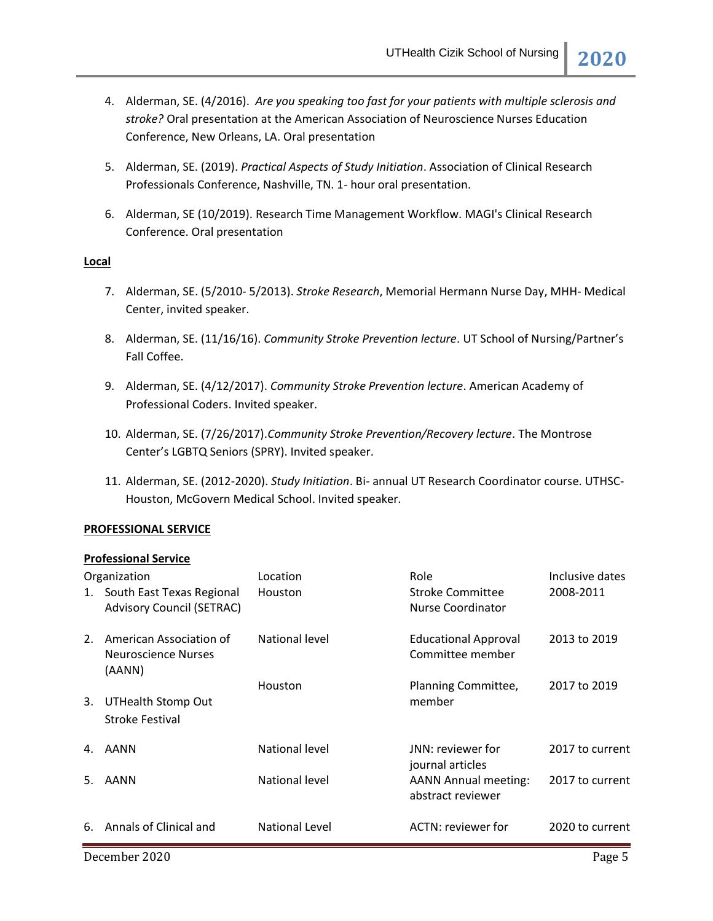- 4. Alderman, SE. (4/2016). *Are you speaking too fast for your patients with multiple sclerosis and stroke?* Oral presentation at the American Association of Neuroscience Nurses Education Conference, New Orleans, LA. Oral presentation
- 5. Alderman, SE. (2019). *Practical Aspects of Study Initiation*. Association of Clinical Research Professionals Conference, Nashville, TN. 1- hour oral presentation.
- 6. Alderman, SE (10/2019). Research Time Management Workflow. MAGI's Clinical Research Conference. Oral presentation

### **Local**

- 7. Alderman, SE. (5/2010- 5/2013). *Stroke Research*, Memorial Hermann Nurse Day, MHH- Medical Center, invited speaker.
- 8. Alderman, SE. (11/16/16). *Community Stroke Prevention lecture*. UT School of Nursing/Partner's Fall Coffee.
- 9. Alderman, SE. (4/12/2017). *Community Stroke Prevention lecture*. American Academy of Professional Coders. Invited speaker.
- 10. Alderman, SE. (7/26/2017).*Community Stroke Prevention/Recovery lecture*. The Montrose Center's LGBTQ Seniors (SPRY). Invited speaker.
- 11. Alderman, SE. (2012-2020). *Study Initiation*. Bi- annual UT Research Coordinator course. UTHSC-Houston, McGovern Medical School. Invited speaker.

### **PROFESSIONAL SERVICE**

### **Professional Service**

|    | Organization                                                     | Location       | Role                                             | Inclusive dates |
|----|------------------------------------------------------------------|----------------|--------------------------------------------------|-----------------|
|    | 1. South East Texas Regional<br><b>Advisory Council (SETRAC)</b> | Houston        | Stroke Committee<br>Nurse Coordinator            | 2008-2011       |
| 2. | American Association of<br>Neuroscience Nurses<br>(AANN)         | National level | <b>Educational Approval</b><br>Committee member  | 2013 to 2019    |
|    |                                                                  | Houston        | Planning Committee,                              | 2017 to 2019    |
| 3. | UTHealth Stomp Out                                               |                | member                                           |                 |
|    | Stroke Festival                                                  |                |                                                  |                 |
|    | 4. AANN                                                          | National level | JNN: reviewer for<br>journal articles            | 2017 to current |
| 5. | AANN                                                             | National level | <b>AANN Annual meeting:</b><br>abstract reviewer | 2017 to current |
|    | 6. Annals of Clinical and                                        | National Level | ACTN: reviewer for                               | 2020 to current |